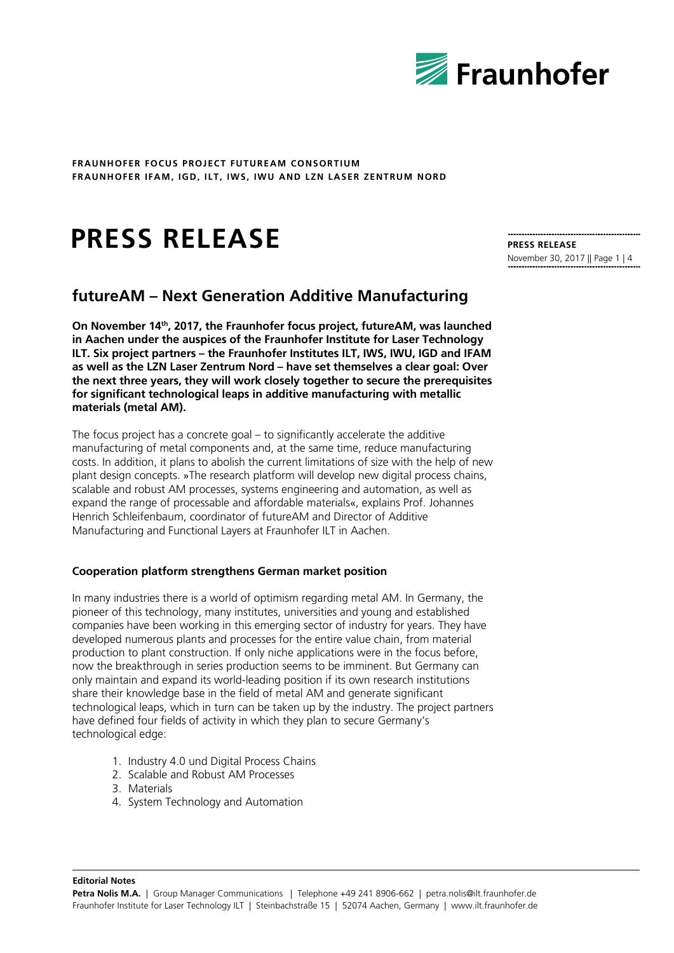

# **PRESS RELEASE**

# **futureAM – Next Generation Additive Manufacturing**

**On November 14th, 2017, the Fraunhofer focus project, futureAM, was launched in Aachen under the auspices of the Fraunhofer Institute for Laser Technology ILT. Six project partners – the Fraunhofer Institutes ILT, IWS, IWU, IGD and IFAM as well as the LZN Laser Zentrum Nord – have set themselves a clear goal: Over the next three years, they will work closely together to secure the prerequisites for significant technological leaps in additive manufacturing with metallic materials (metal AM).**

The focus project has a concrete goal – to significantly accelerate the additive manufacturing of metal components and, at the same time, reduce manufacturing costs. In addition, it plans to abolish the current limitations of size with the help of new plant design concepts. »The research platform will develop new digital process chains, scalable and robust AM processes, systems engineering and automation, as well as expand the range of processable and affordable materials«, explains Prof. Johannes Henrich Schleifenbaum, coordinator of futureAM and Director of Additive Manufacturing and Functional Layers at Fraunhofer ILT in Aachen.

# **Cooperation platform strengthens German market position**

In many industries there is a world of optimism regarding metal AM. In Germany, the pioneer of this technology, many institutes, universities and young and established companies have been working in this emerging sector of industry for years. They have developed numerous plants and processes for the entire value chain, from material production to plant construction. If only niche applications were in the focus before, now the breakthrough in series production seems to be imminent. But Germany can only maintain and expand its world-leading position if its own research institutions share their knowledge base in the field of metal AM and generate significant technological leaps, which in turn can be taken up by the industry. The project partners have defined four fields of activity in which they plan to secure Germany's technological edge:

- 1. Industry 4.0 und Digital Process Chains
- 2. Scalable and Robust AM Processes
- 3. Materials
- 4. System Technology and Automation

**PRESS RELEASE** November 30, 2017 || Page 1 | 4

**Editorial Notes**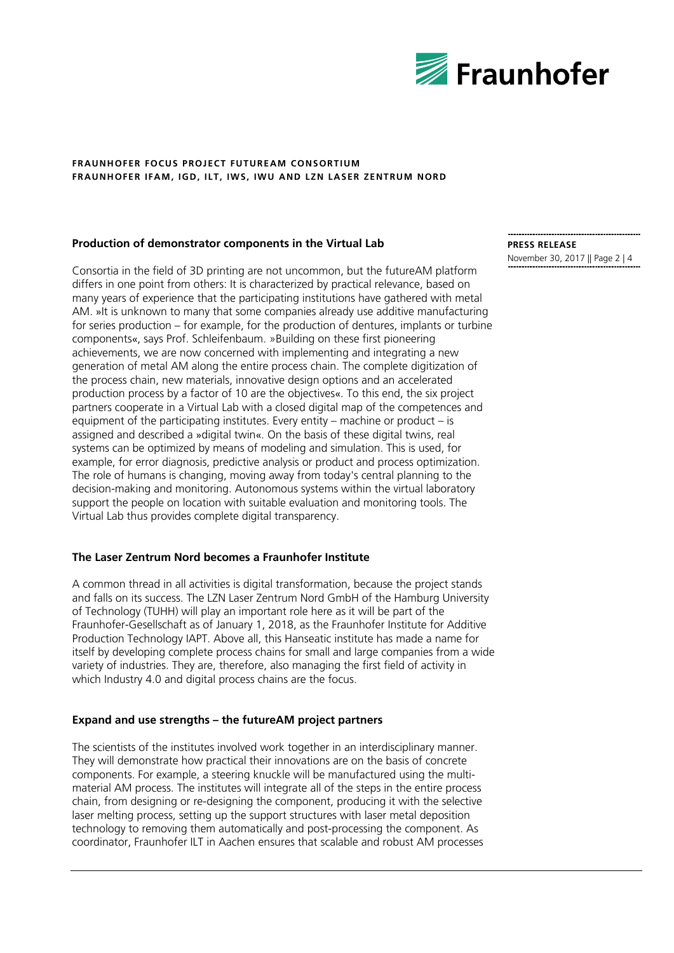

# **Production of demonstrator components in the Virtual Lab**

Consortia in the field of 3D printing are not uncommon, but the futureAM platform differs in one point from others: It is characterized by practical relevance, based on many years of experience that the participating institutions have gathered with metal AM. »It is unknown to many that some companies already use additive manufacturing for series production – for example, for the production of dentures, implants or turbine components«, says Prof. Schleifenbaum. »Building on these first pioneering achievements, we are now concerned with implementing and integrating a new generation of metal AM along the entire process chain. The complete digitization of the process chain, new materials, innovative design options and an accelerated production process by a factor of 10 are the objectives«. To this end, the six project partners cooperate in a Virtual Lab with a closed digital map of the competences and equipment of the participating institutes. Every entity – machine or product – is assigned and described a »digital twin«. On the basis of these digital twins, real systems can be optimized by means of modeling and simulation. This is used, for example, for error diagnosis, predictive analysis or product and process optimization. The role of humans is changing, moving away from today's central planning to the decision-making and monitoring. Autonomous systems within the virtual laboratory support the people on location with suitable evaluation and monitoring tools. The Virtual Lab thus provides complete digital transparency.

# **The Laser Zentrum Nord becomes a Fraunhofer Institute**

A common thread in all activities is digital transformation, because the project stands and falls on its success. The LZN Laser Zentrum Nord GmbH of the Hamburg University of Technology (TUHH) will play an important role here as it will be part of the Fraunhofer-Gesellschaft as of January 1, 2018, as the Fraunhofer Institute for Additive Production Technology IAPT. Above all, this Hanseatic institute has made a name for itself by developing complete process chains for small and large companies from a wide variety of industries. They are, therefore, also managing the first field of activity in which Industry 4.0 and digital process chains are the focus.

# **Expand and use strengths – the futureAM project partners**

The scientists of the institutes involved work together in an interdisciplinary manner. They will demonstrate how practical their innovations are on the basis of concrete components. For example, a steering knuckle will be manufactured using the multimaterial AM process. The institutes will integrate all of the steps in the entire process chain, from designing or re-designing the component, producing it with the selective laser melting process, setting up the support structures with laser metal deposition technology to removing them automatically and post-processing the component. As coordinator, Fraunhofer ILT in Aachen ensures that scalable and robust AM processes

#### **PRESS RELEASE** November 30, 2017 || Page 2 | 4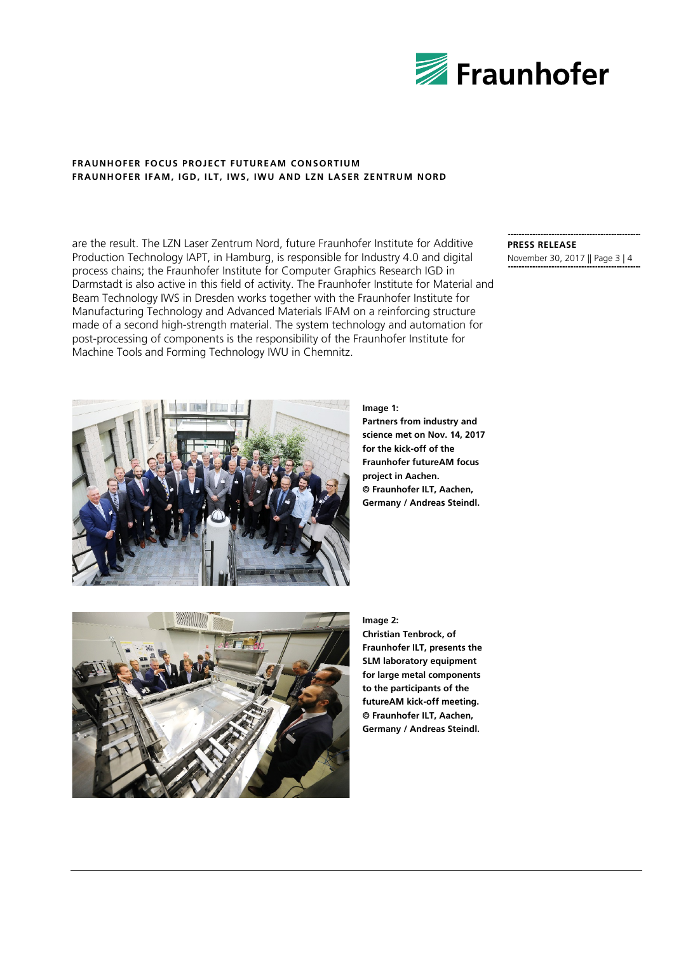

are the result. The LZN Laser Zentrum Nord, future Fraunhofer Institute for Additive Production Technology IAPT, in Hamburg, is responsible for Industry 4.0 and digital process chains; the Fraunhofer Institute for Computer Graphics Research IGD in Darmstadt is also active in this field of activity. The Fraunhofer Institute for Material and Beam Technology IWS in Dresden works together with the Fraunhofer Institute for Manufacturing Technology and Advanced Materials IFAM on a reinforcing structure made of a second high-strength material. The system technology and automation for post-processing of components is the responsibility of the Fraunhofer Institute for Machine Tools and Forming Technology IWU in Chemnitz.

# **PRESS RELEASE** November 30, 2017 || Page 3 | 4

**Image 1:**

**Partners from industry and science met on Nov. 14, 2017 for the kick-off of the Fraunhofer futureAM focus project in Aachen. © Fraunhofer ILT, Aachen, Germany / Andreas Steindl.**

#### **Image 2:**

**Christian Tenbrock, of Fraunhofer ILT, presents the SLM laboratory equipment for large metal components to the participants of the futureAM kick-off meeting. © Fraunhofer ILT, Aachen, Germany / Andreas Steindl.**